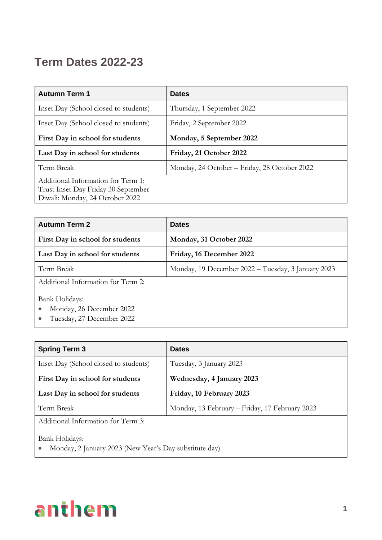## **Term Dates 2022-23**

| <b>Autumn Term 1</b>                                                                                         | <b>Dates</b>                                 |
|--------------------------------------------------------------------------------------------------------------|----------------------------------------------|
| Inset Day (School closed to students)                                                                        | Thursday, 1 September 2022                   |
| Inset Day (School closed to students)                                                                        | Friday, 2 September 2022                     |
| First Day in school for students                                                                             | Monday, 5 September 2022                     |
| Last Day in school for students                                                                              | Friday, 21 October 2022                      |
| Term Break                                                                                                   | Monday, 24 October - Friday, 28 October 2022 |
| Additional Information for Term 1:<br>Trust Inset Day Friday 30 September<br>Diwali: Monday, 24 October 2022 |                                              |

| <b>Autumn Term 2</b>                       | <b>Dates</b>                                       |
|--------------------------------------------|----------------------------------------------------|
| First Day in school for students           | Monday, 31 October 2022                            |
| Last Day in school for students            | Friday, 16 December 2022                           |
| Term Break                                 | Monday, 19 December 2022 – Tuesday, 3 January 2023 |
| Additional Information for Term 2:         |                                                    |
| Bank Holidays:<br>Monday, 26 December 2022 |                                                    |

• Tuesday, 27 December 2022

| <b>Spring Term 3</b>                                                     | <b>Dates</b>                                   |
|--------------------------------------------------------------------------|------------------------------------------------|
| Inset Day (School closed to students)                                    | Tuesday, 3 January 2023                        |
| First Day in school for students                                         | Wednesday, 4 January 2023                      |
| Last Day in school for students                                          | Friday, 10 February 2023                       |
| Term Break                                                               | Monday, 13 February – Friday, 17 February 2023 |
| Additional Information for Term 3:                                       |                                                |
| Bank Holidays:<br>Monday, 2 January 2023 (New Year's Day substitute day) |                                                |